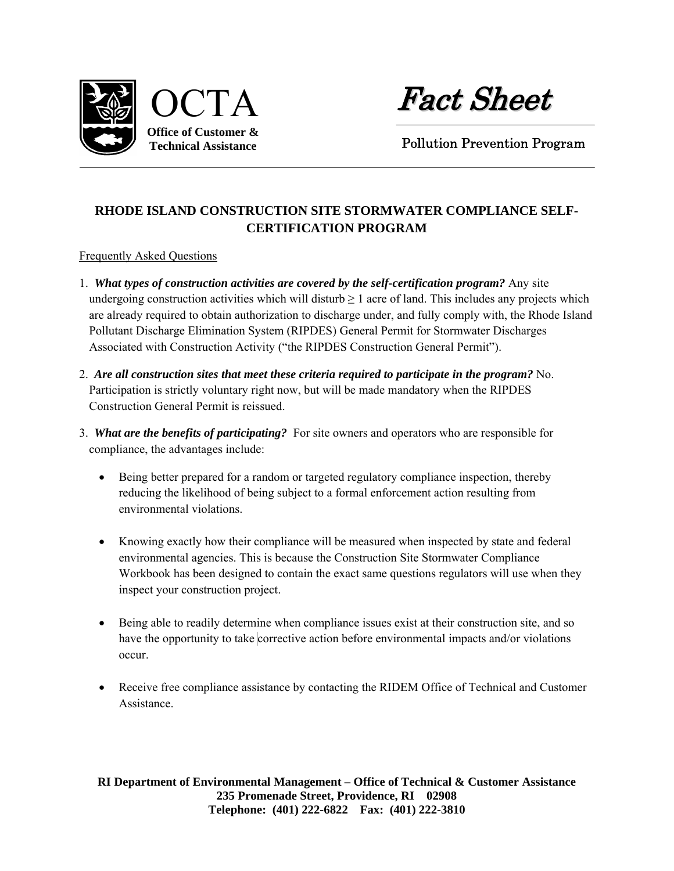

Fact Sheet

Pollution Prevention Program

## **RHODE ISLAND CONSTRUCTION SITE STORMWATER COMPLIANCE SELF-CERTIFICATION PROGRAM**

Frequently Asked Questions

- 1. *What types of construction activities are covered by the self-certification program?* Any site undergoing construction activities which will disturb  $\geq 1$  acre of land. This includes any projects which are already required to obtain authorization to discharge under, and fully comply with, the Rhode Island Pollutant Discharge Elimination System (RIPDES) General Permit for Stormwater Discharges Associated with Construction Activity ("the RIPDES Construction General Permit").
- 2. *Are all construction sites that meet these criteria required to participate in the program?* No. Participation is strictly voluntary right now, but will be made mandatory when the RIPDES Construction General Permit is reissued.
- 3. *What are the benefits of participating?* For site owners and operators who are responsible for compliance, the advantages include:
	- Being better prepared for a random or targeted regulatory compliance inspection, thereby reducing the likelihood of being subject to a formal enforcement action resulting from environmental violations.
	- Knowing exactly how their compliance will be measured when inspected by state and federal environmental agencies. This is because the Construction Site Stormwater Compliance Workbook has been designed to contain the exact same questions regulators will use when they inspect your construction project.
	- Being able to readily determine when compliance issues exist at their construction site, and so have the opportunity to take corrective action before environmental impacts and/or violations occur.
	- Receive free compliance assistance by contacting the RIDEM Office of Technical and Customer Assistance.

**RI Department of Environmental Management – Office of Technical & Customer Assistance 235 Promenade Street, Providence, RI 02908 Telephone: (401) 222-6822 Fax: (401) 222-3810**